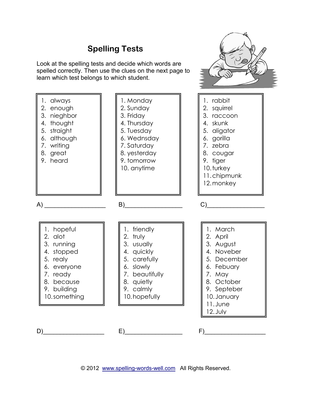## **Spelling Tests**

Look at the spelling tests and decide which words are spelled correctly. Then use the clues on the next page to learn which test belongs to which student.



© 2012 [www.spelling-words-well.com](http://www.spelling-words-well.com/) All Rights Reserved.